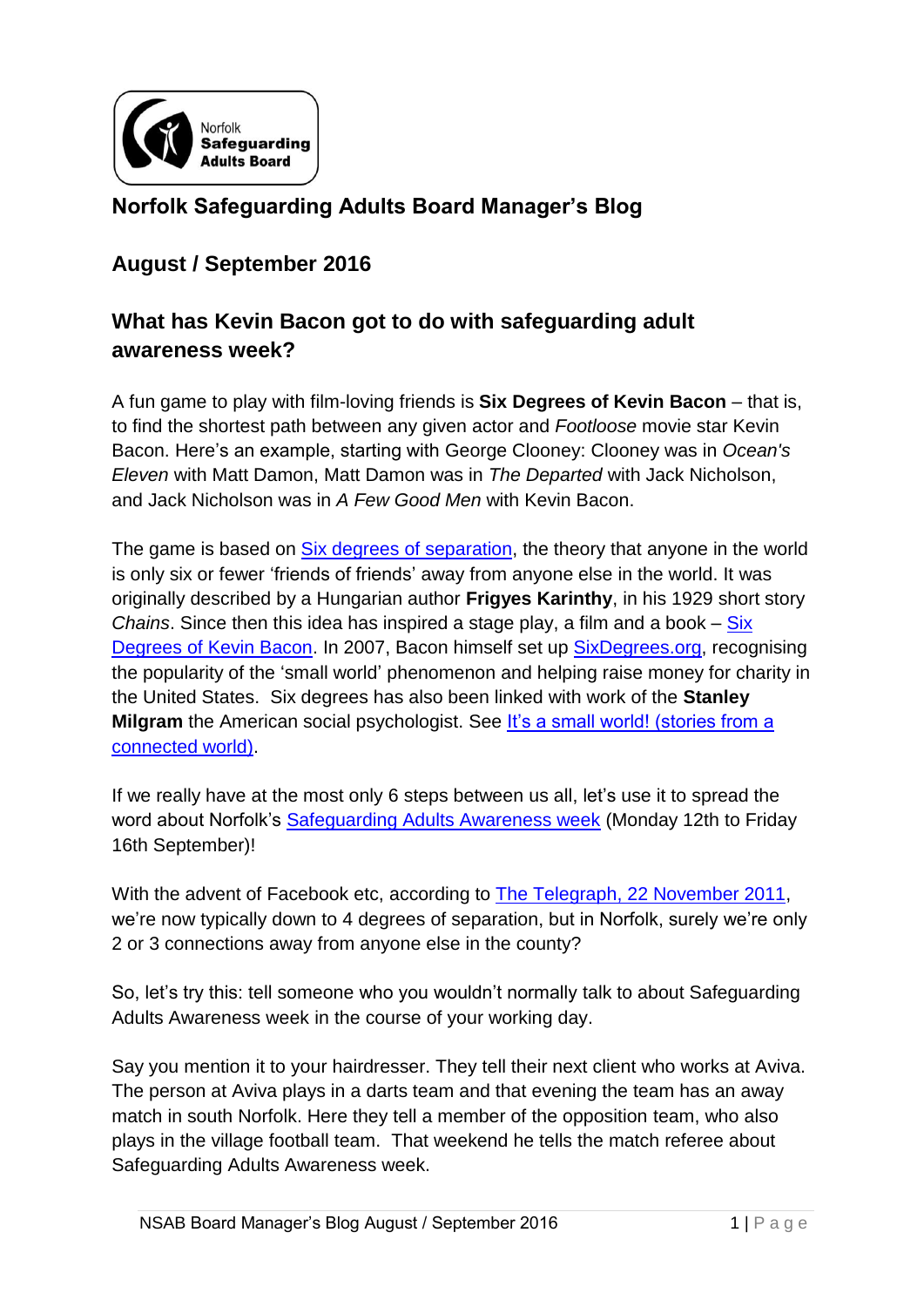

## **Norfolk Safeguarding Adults Board Manager's Blog**

## **August / September 2016**

## **What has Kevin Bacon got to do with safeguarding adult awareness week?**

A fun game to play with film-loving friends is **Six Degrees of Kevin Bacon** – that is, to find the shortest path between any given actor and *Footloose* movie star Kevin Bacon. Here's an example, starting with George Clooney: Clooney was in *Ocean's Eleven* with Matt Damon, Matt Damon was in *The Departed* with Jack Nicholson, and Jack Nicholson was in *A Few Good Men* with Kevin Bacon.

The game is based on [Six degrees of separation,](https://en.wikipedia.org/wiki/Six_degrees_of_separation) the theory that anyone in the world is only six or fewer 'friends of friends' away from anyone else in the world. It was originally described by a Hungarian author **Frigyes Karinthy**, in his 1929 short story *Chains*. Since then this idea has inspired a stage play, a film and a book – [Six](https://www.amazon.com/Degrees-Kevin-Bacon-Craig-Fass/dp/0452278449)  [Degrees of Kevin Bacon.](https://www.amazon.com/Degrees-Kevin-Bacon-Craig-Fass/dp/0452278449) In 2007, Bacon himself set up [SixDegrees.org,](http://www.sixdegrees.org/) recognising the popularity of the 'small world' phenomenon and helping raise money for charity in the United States. Six degrees has also been linked with work of the **Stanley Milgram** the American social psychologist. See It's a small world! (stories from a [connected world\).](https://www.bing.com/videos/search?q=small-world+experiment&&view=detail&mid=A27DDBB09687F3974ECBA27DDBB09687F3974ECB&rvsmid=C1EF13412721755A81A4C1EF13412721755A81A4&fsscr=0&FORM=VDFSRV)

If we really have at the most only 6 steps between us all, let's use it to spread the word about Norfolk's [Safeguarding Adults Awareness week](http://www.norfolksafeguardingadultsboard.info/board/safeguarding-adults-week/) (Monday 12th to Friday 16th September)!

With the advent of Facebook etc, according to [The Telegraph, 22 November 2011,](http://www.telegraph.co.uk/technology/facebook/8906693/Facebook-cuts-six-degrees-of-separation-to-four.html) we're now typically down to 4 degrees of separation, but in Norfolk, surely we're only 2 or 3 connections away from anyone else in the county?

So, let's try this: tell someone who you wouldn't normally talk to about Safeguarding Adults Awareness week in the course of your working day.

Say you mention it to your hairdresser. They tell their next client who works at Aviva. The person at Aviva plays in a darts team and that evening the team has an away match in south Norfolk. Here they tell a member of the opposition team, who also plays in the village football team. That weekend he tells the match referee about Safeguarding Adults Awareness week.